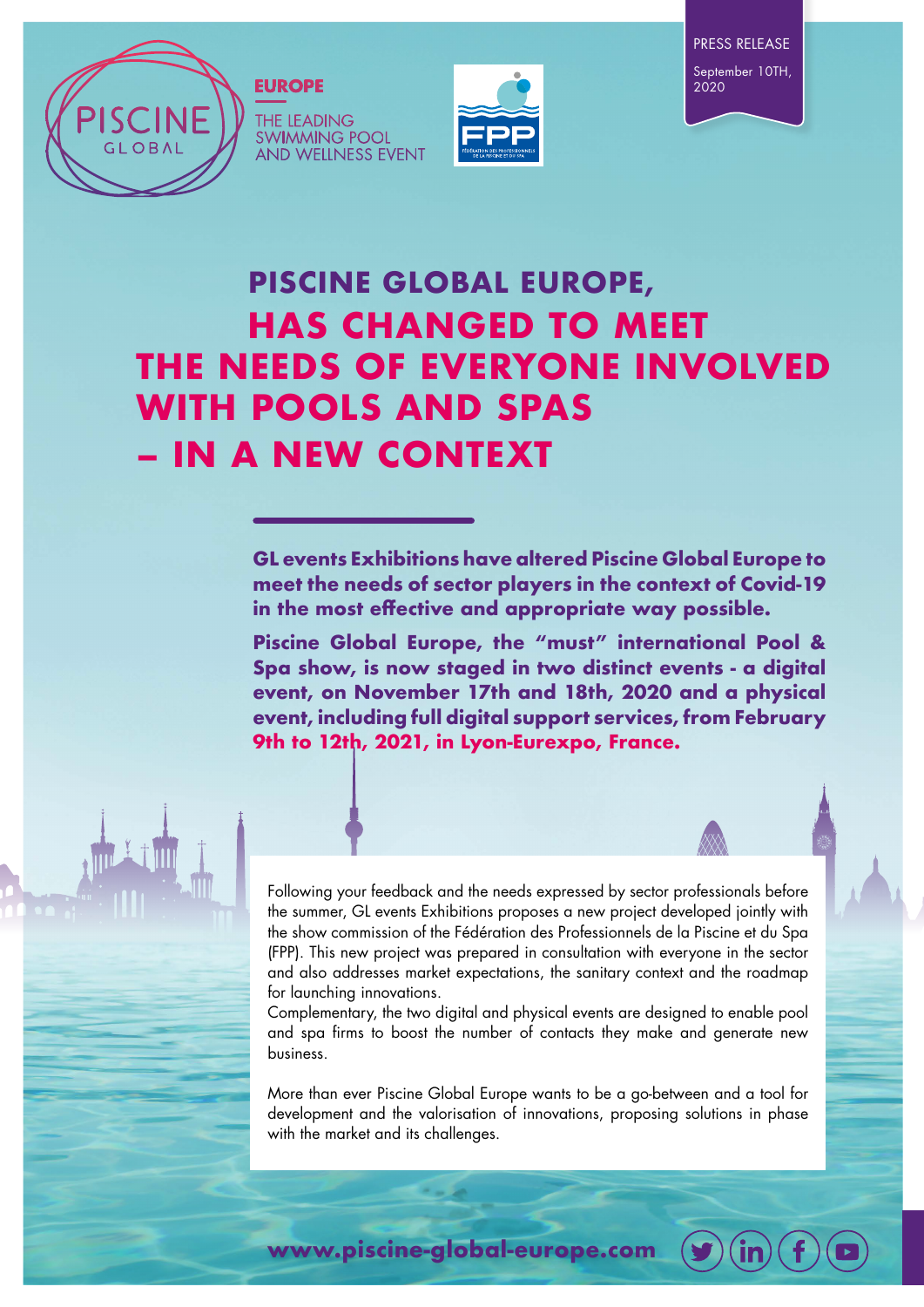

#### **THE LEADING SWIMMING POOL AND WELLNESS EVENT**





# **PISCINE GLOBAL EUROPE, HAS CHANGED TO MEET THE NEEDS OF EVERYONE INVOLVED WITH POOLS AND SPAS – IN A NEW CONTEXT**

**GL events Exhibitions have altered Piscine Global Europe to meet the needs of sector players in the context of Covid-19 in the most effective and appropriate way possible.** 

**Piscine Global Europe, the "must" international Pool & Spa show, is now staged in two distinct events - a digital event, on November 17th and 18th, 2020 and a physical event, including full digital support services, from February 9th to 12th, 2021, in Lyon-Eurexpo, France.**

Following your feedback and the needs expressed by sector professionals before the summer, GL events Exhibitions proposes a new project developed jointly with the show commission of the Fédération des Professionnels de la Piscine et du Spa (FPP). This new project was prepared in consultation with everyone in the sector and also addresses market expectations, the sanitary context and the roadmap for launching innovations.

Complementary, the two digital and physical events are designed to enable pool and spa firms to boost the number of contacts they make and generate new business.

More than ever Piscine Global Europe wants to be a go-between and a tool for development and the valorisation of innovations, proposing solutions in phase with the market and its challenges.

**www.piscine-global-europe.com**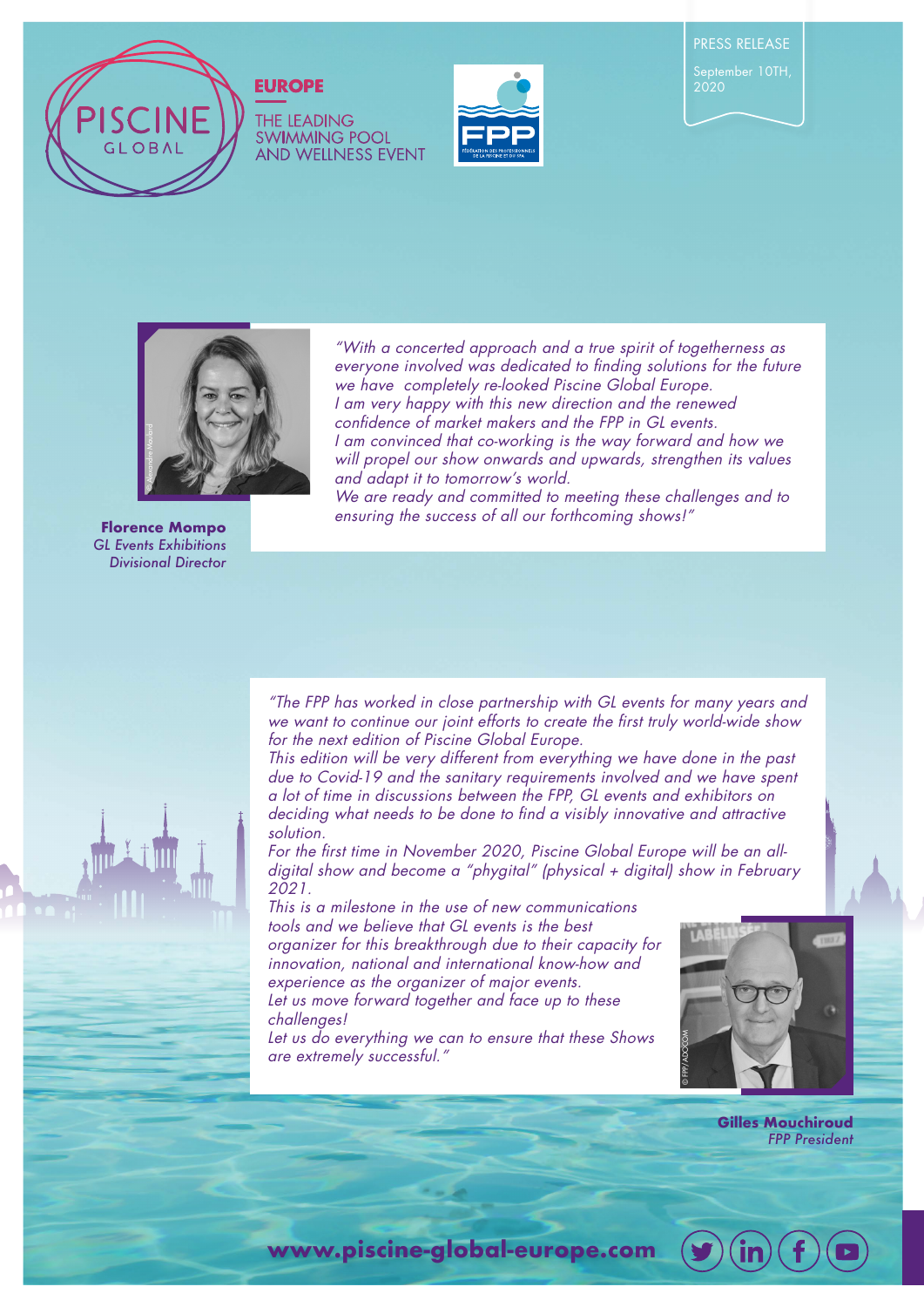

## **EUROPE**

**THE LEADING SWIMMING POOL** AND WELLNESS EVENT



2020



"With a concerted approach and a true spirit of togetherness as everyone involved was dedicated to finding solutions for the future we have completely re-looked Piscine Global Europe. I am very happy with this new direction and the renewed confidence of market makers and the FPP in GL events. I am convinced that co-working is the way forward and how we will propel our show onwards and upwards, strengthen its values and adapt it to tomorrow's world.

We are ready and committed to meeting these challenges and to ensuring the success of all our forthcoming shows!"

**Florence Mompo** *GL Events Exhibitions Divisional Director*



"The FPP has worked in close partnership with GL events for many years and we want to continue our joint efforts to create the first truly world-wide show for the next edition of Piscine Global Europe.

This edition will be very different from everything we have done in the past due to Covid-19 and the sanitary requirements involved and we have spent a lot of time in discussions between the FPP, GL events and exhibitors on deciding what needs to be done to find a visibly innovative and attractive solution.

For the first time in November 2020, Piscine Global Europe will be an alldigital show and become a "phygital" (physical + digital) show in February 2021.

This is a milestone in the use of new communications tools and we believe that GL events is the best organizer for this breakthrough due to their capacity for innovation, national and international know-how and experience as the organizer of major events. Let us move forward together and face up to these challenges!

Let us do everything we can to ensure that these Shows are extremely successful."



**Gilles Mouchiroud**  *FPP President* 



**www.piscine-global-europe.com**